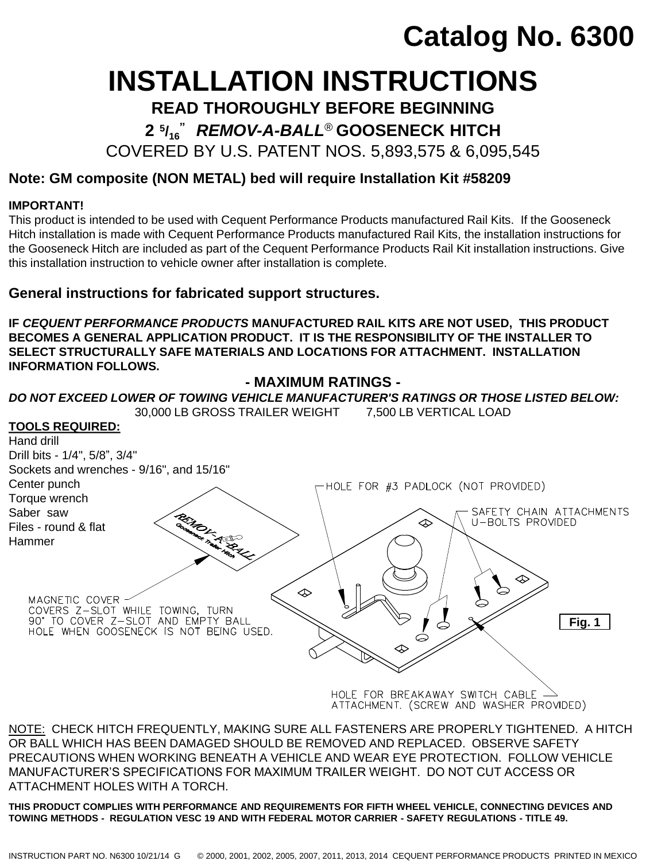# **Catalog No. 6300**

# **INSTALLATION INSTRUCTIONS**

**READ THOROUGHLY BEFORE BEGINNING**

**2 <sup>5</sup> /16 "** *REMOV-A-BALL*® **GOOSENECK HITCH**

COVERED BY U.S. PATENT NOS. 5,893,575 & 6,095,545

# **Note: GM composite (NON METAL) bed will require Installation Kit #58209**

## **IMPORTANT!**

This product is intended to be used with Cequent Performance Products manufactured Rail Kits. If the Gooseneck Hitch installation is made with Cequent Performance Products manufactured Rail Kits, the installation instructions for the Gooseneck Hitch are included as part of the Cequent Performance Products Rail Kit installation instructions. Give this installation instruction to vehicle owner after installation is complete.

# **General instructions for fabricated support structures.**

**IF** *CEQUENT PERFORMANCE PRODUCTS* **MANUFACTURED RAIL KITS ARE NOT USED, THIS PRODUCT BECOMES A GENERAL APPLICATION PRODUCT. IT IS THE RESPONSIBILITY OF THE INSTALLER TO SELECT STRUCTURALLY SAFE MATERIALS AND LOCATIONS FOR ATTACHMENT. INSTALLATION INFORMATION FOLLOWS.**

**- MAXIMUM RATINGS -** *DO NOT EXCEED LOWER OF TOWING VEHICLE MANUFACTURER'S RATINGS OR THOSE LISTED BELOW:* 30,000 LB GROSS TRAILER WEIGHT 7,500 LB VERTICAL LOAD **TOOLS REQUIRED:** Hand drill Drill bits - 1/4", 5/8", 3/4" Sockets and wrenches - 9/16", and 15/16" Center punch -HOLE FOR #3 PADLOCK (NOT PROVIDED) Torque wrench Saber saw SAFETY CHAIN ATTACHMENTS ⚠ U-BOLTS PROVIDED Files - round & flat Hammer MAGNETIC COVER WORKS Z-SLOT WHILE TOWING, TURN<br>190' TO COVER Z-SLOT AND EMPTY BALL<br>HOLE WHEN GOOSENECK IS NOT BEING USED. **Fig. 1**HOLE FOR BREAKAWAY SWITCH CABLE ATTACHMENT. (SCREW AND WASHER PROVIDED)

<u>NOTE:</u> CHECK HITCH FREQUENTLY, MAKING SURE ALL FASTENERS ARE PROPERLY TIGHTENED. A HITCH OR BALL WHICH HAS BEEN DAMAGED SHOULD BE REMOVED AND REPLACED. OBSERVE SAFETY PRECAUTIONS WHEN WORKING BENEATH A VEHICLE AND WEAR EYE PROTECTION. FOLLOW VEHICLE MANUFACTURER'S SPECIFICATIONS FOR MAXIMUM TRAILER WEIGHT. DO NOT CUT ACCESS OR ATTACHMENT HOLES WITH A TORCH.

**THIS PRODUCT COMPLIES WITH PERFORMANCE AND REQUIREMENTS FOR FIFTH WHEEL VEHICLE, CONNECTING DEVICES AND TOWING METHODS - REGULATION VESC 19 AND WITH FEDERAL MOTOR CARRIER - SAFETY REGULATIONS - TITLE 49.**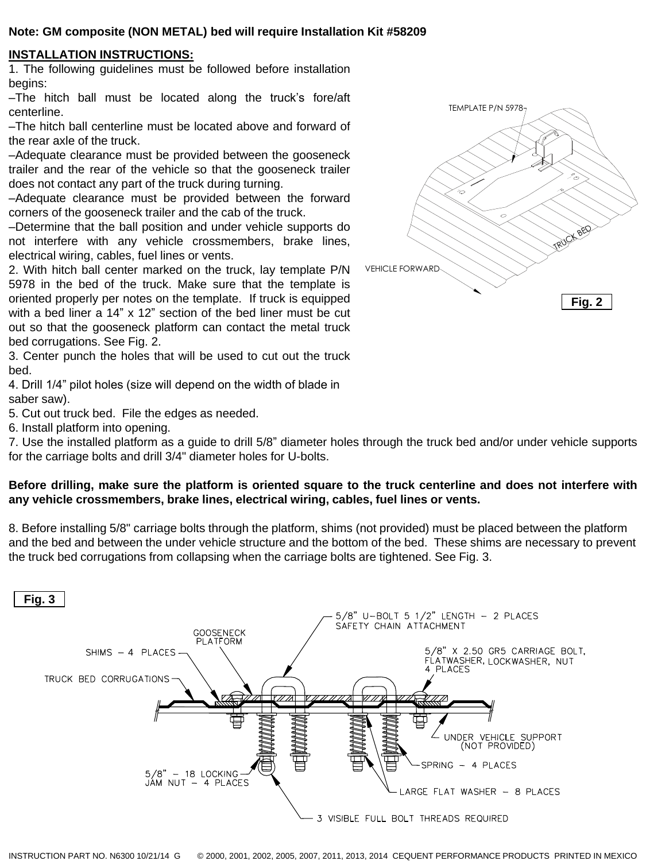## **Note: GM composite (NON METAL) bed will require Installation Kit #58209**

## **INSTALLATION INSTRUCTIONS:**

1. The following guidelines must be followed before installation begins:

–The hitch ball must be located along the truck's fore/aft centerline.

–The hitch ball centerline must be located above and forward of the rear axle of the truck.

–Adequate clearance must be provided between the gooseneck trailer and the rear of the vehicle so that the gooseneck trailer does not contact any part of the truck during turning.

–Adequate clearance must be provided between the forward corners of the gooseneck trailer and the cab of the truck.

–Determine that the ball position and under vehicle supports do not interfere with any vehicle crossmembers, brake lines, electrical wiring, cables, fuel lines or vents.

2. With hitch ball center marked on the truck, lay template P/N 5978 in the bed of the truck. Make sure that the template is oriented properly per notes on the template. If truck is equipped with a bed liner a 14" x 12" section of the bed liner must be cut out so that the gooseneck platform can contact the metal truck bed corrugations. See Fig. 2.

3. Center punch the holes that will be used to cut out the truck bed.

4. Drill 1/4" pilot holes (size will depend on the width of blade in saber saw).

5. Cut out truck bed. File the edges as needed.

6. Install platform into opening.

7. Use the installed platform as a guide to drill 5/8" diameter holes through the truck bed and/or under vehicle supports for the carriage bolts and drill 3/4" diameter holes for U-bolts.

## Before drilling, make sure the platform is oriented square to the truck centerline and does not interfere with **any vehicle crossmembers, brake lines, electrical wiring, cables, fuel lines or vents.**

8. Before installing 5/8" carriage bolts through the platform, shims (not provided) must be placed between the platform and the bed and between the under vehicle structure and the bottom of the bed. These shims are necessary to prevent the truck bed corrugations from collapsing when the carriage bolts are tightened. See Fig. 3.



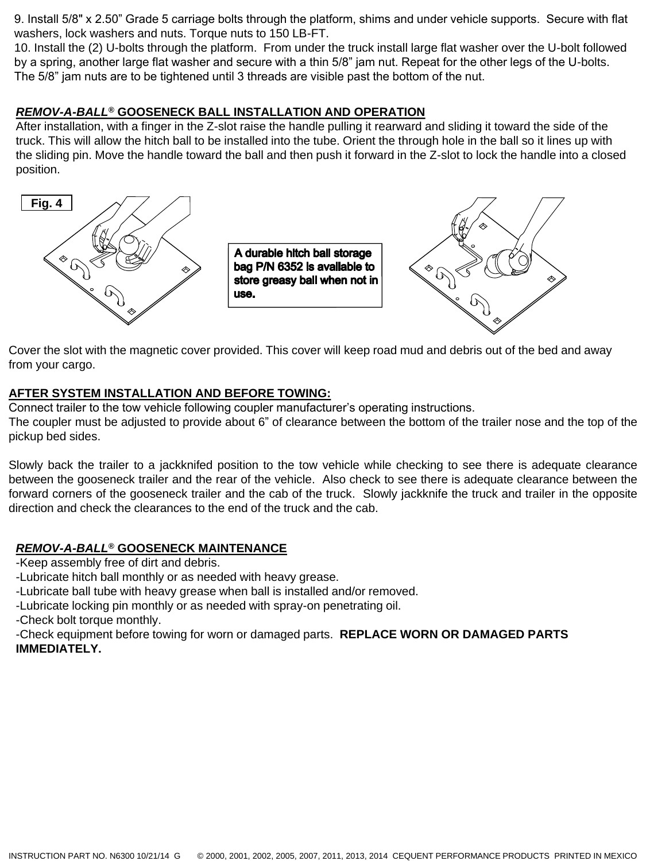9. Install 5/8" x 2.50" Grade 5 carriage bolts through the platform, shims and under vehicle supports. Secure with flat washers, lock washers and nuts. Torque nuts to 150 LB-FT.

10. Install the (2) U-bolts through the platform. From under the truck install large flat washer over the U-bolt followed by a spring, another large flat washer and secure with a thin 5/8" jam nut. Repeat for the other legs of the U-bolts. The 5/8" jam nuts are to be tightened until 3 threads are visible past the bottom of the nut.

## *REMOV-A-BALL***® GOOSENECK BALL INSTALLATION AND OPERATION**

After installation, with a finger in the Z-slot raise the handle pulling it rearward and sliding it toward the side of the truck. This will allow the hitch ball to be installed into the tube. Orient the through hole in the ball so it lines up with the sliding pin. Move the handle toward the ball and then push it forward in the Z-slot to lock the handle into a closed position.



A durable hitch ball storage bag P/N 6352 is available to store greasy ball when not in use.



Cover the slot with the magnetic cover provided. This cover will keep road mud and debris out of the bed and away from your cargo.

## **AFTER SYSTEM INSTALLATION AND BEFORE TOWING:**

Connect trailer to the tow vehicle following coupler manufacturer's operating instructions.

The coupler must be adjusted to provide about 6" of clearance between the bottom of the trailer nose and the top of the pickup bed sides.

Slowly back the trailer to a jackknifed position to the tow vehicle while checking to see there is adequate clearance between the gooseneck trailer and the rear of the vehicle. Also check to see there is adequate clearance between the forward corners of the gooseneck trailer and the cab of the truck. Slowly jackknife the truck and trailer in the opposite direction and check the clearances to the end of the truck and the cab.

## *REMOV-A-BALL***® GOOSENECK MAINTENANCE**

-Keep assembly free of dirt and debris.

-Lubricate hitch ball monthly or as needed with heavy grease.

-Lubricate ball tube with heavy grease when ball is installed and/or removed.

-Lubricate locking pin monthly or as needed with spray-on penetrating oil.

-Check bolt torque monthly.

-Check equipment before towing for worn or damaged parts. **REPLACE WORN OR DAMAGED PARTS IMMEDIATELY.**